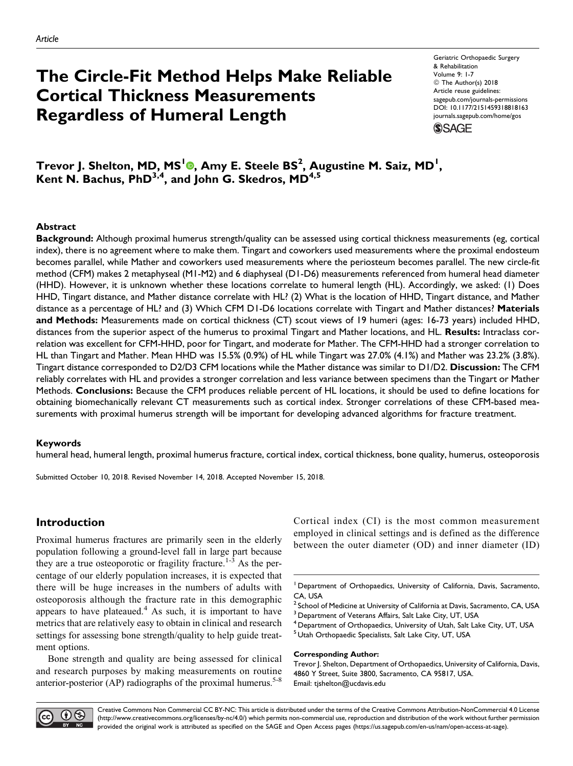# The Circle-Fit Method Helps Make Reliable Cortical Thickness Measurements Regardless of Humeral Length

Geriatric Orthopaedic Surgery & Rehabilitation Volume 9: 1-7 © The Author(s) 2018 Article reuse guidelines: [sagepub.com/journals-permissions](https://sagepub.com/journals-permissions) [DOI: 10.1177/2151459318818163](https://doi.org/10.1177/2151459318818163) [journals.sagepub.com/home/gos](http://journals.sagepub.com/home/gos) **SSAGE** 

Trevor J. Shelton, MD, MS<sup>I</sup>®, Amy E. Steele BS<sup>2</sup>, Augustine M. Saiz, MD<sup>1</sup>, Kent N. Bachus,  $PhD^{3,4}$ , and John G. Skedros,  $MD^{4,5}$ 

#### Abstract

Background: Although proximal humerus strength/quality can be assessed using cortical thickness measurements (eg, cortical index), there is no agreement where to make them. Tingart and coworkers used measurements where the proximal endosteum becomes parallel, while Mather and coworkers used measurements where the periosteum becomes parallel. The new circle-fit method (CFM) makes 2 metaphyseal (M1-M2) and 6 diaphyseal (D1-D6) measurements referenced from humeral head diameter (HHD). However, it is unknown whether these locations correlate to humeral length (HL). Accordingly, we asked: (1) Does HHD, Tingart distance, and Mather distance correlate with HL? (2) What is the location of HHD, Tingart distance, and Mather distance as a percentage of HL? and (3) Which CFM D1-D6 locations correlate with Tingart and Mather distances? Materials and Methods: Measurements made on cortical thickness (CT) scout views of 19 humeri (ages: 16-73 years) included HHD, distances from the superior aspect of the humerus to proximal Tingart and Mather locations, and HL. Results: Intraclass correlation was excellent for CFM-HHD, poor for Tingart, and moderate for Mather. The CFM-HHD had a stronger correlation to HL than Tingart and Mather. Mean HHD was 15.5% (0.9%) of HL while Tingart was 27.0% (4.1%) and Mather was 23.2% (3.8%). Tingart distance corresponded to D2/D3 CFM locations while the Mather distance was similar to D1/D2. Discussion: The CFM reliably correlates with HL and provides a stronger correlation and less variance between specimens than the Tingart or Mather Methods. Conclusions: Because the CFM produces reliable percent of HL locations, it should be used to define locations for obtaining biomechanically relevant CT measurements such as cortical index. Stronger correlations of these CFM-based measurements with proximal humerus strength will be important for developing advanced algorithms for fracture treatment.

#### Keywords

humeral head, humeral length, proximal humerus fracture, cortical index, cortical thickness, bone quality, humerus, osteoporosis

Submitted October 10, 2018. Revised November 14, 2018. Accepted November 15, 2018.

# Introduction

Proximal humerus fractures are primarily seen in the elderly population following a ground-level fall in large part because they are a true osteoporotic or fragility fracture.<sup>1-3</sup> As the percentage of our elderly population increases, it is expected that there will be huge increases in the numbers of adults with osteoporosis although the fracture rate in this demographic appears to have plateaued. $4$  As such, it is important to have metrics that are relatively easy to obtain in clinical and research settings for assessing bone strength/quality to help guide treatment options.

Bone strength and quality are being assessed for clinical and research purposes by making measurements on routine anterior-posterior (AP) radiographs of the proximal humerus.<sup>5-8</sup>

Cortical index (CI) is the most common measurement employed in clinical settings and is defined as the difference between the outer diameter (OD) and inner diameter (ID)

<sup>5</sup> Utah Orthopaedic Specialists, Salt Lake City, UT, USA

#### Corresponding Author:

Trevor J. Shelton, Department of Orthopaedics, University of California, Davis, 4860 Y Street, Suite 3800, Sacramento, CA 95817, USA. Email: [tjshelton@ucdavis.edu](mailto:tjshelton@ucdavis.edu)



<sup>&</sup>lt;sup>1</sup> Department of Orthopaedics, University of California, Davis, Sacramento, CA, USA

 $^2$  School of Medicine at University of California at Davis, Sacramento, CA, USA <sup>3</sup> Department of Veterans Affairs, Salt Lake City, UT, USA

<sup>&</sup>lt;sup>4</sup> Department of Orthopaedics, University of Utah, Salt Lake City, UT, USA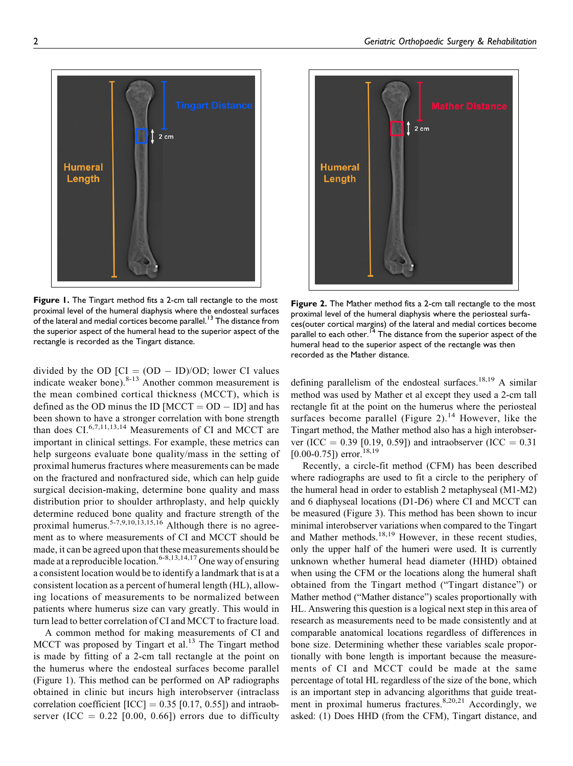

**Figure 1.** The Tingart method fits a 2-cm tall rectangle to the most proximal level of the humeral diaphysis where the endosteal surfaces of the lateral and medial cortices become parallel.<sup>13</sup> The distance from the superior aspect of the humeral head to the superior aspect of the rectangle is recorded as the Tingart distance.

divided by the OD  $[CI = (OD - ID)/OD;$  lower CI values indicate weaker bone). $8-13$  Another common measurement is the mean combined cortical thickness (MCCT), which is defined as the OD minus the ID  $[MCCT = OD - ID]$  and has been shown to have a stronger correlation with bone strength than does  $CI$ <sup>6,7,11,13,14</sup> Measurements of CI and MCCT are important in clinical settings. For example, these metrics can help surgeons evaluate bone quality/mass in the setting of proximal humerus fractures where measurements can be made on the fractured and nonfractured side, which can help guide surgical decision-making, determine bone quality and mass distribution prior to shoulder arthroplasty, and help quickly determine reduced bone quality and fracture strength of the proximal humerus.<sup>5-7,9,10,13,15,16</sup> Although there is no agreement as to where measurements of CI and MCCT should be made, it can be agreed upon that these measurements should be made at a reproducible location.<sup>6-8,13,14,17</sup> One way of ensuring a consistent location would be to identify a landmark that is at a consistent location as a percent of humeral length (HL), allowing locations of measurements to be normalized between patients where humerus size can vary greatly. This would in turn lead to better correlation of CI and MCCT to fracture load.

A common method for making measurements of CI and MCCT was proposed by Tingart et al. $13$  The Tingart method is made by fitting of a 2-cm tall rectangle at the point on the humerus where the endosteal surfaces become parallel (Figure 1). This method can be performed on AP radiographs obtained in clinic but incurs high interobserver (intraclass correlation coefficient  $[ICC] = 0.35 [0.17, 0.55]$  and intraobserver (ICC =  $0.22$  [0.00, 0.66]) errors due to difficulty



Figure 2. The Mather method fits a 2-cm tall rectangle to the most proximal level of the humeral diaphysis where the periosteal surfaces(outer cortical margins) of the lateral and medial cortices become parallel to each other.<sup>14</sup> The distance from the superior aspect of the humeral head to the superior aspect of the rectangle was then recorded as the Mather distance.

defining parallelism of the endosteal surfaces.<sup>18,19</sup> A similar method was used by Mather et al except they used a 2-cm tall rectangle fit at the point on the humerus where the periosteal surfaces become parallel (Figure 2).<sup>14</sup> However, like the Tingart method, the Mather method also has a high interobserver (ICC = 0.39 [0.19, 0.59]) and intraobserver (ICC =  $0.31$ )  $[0.00 - 0.75]$ ) error.<sup>18,19</sup>

Recently, a circle-fit method (CFM) has been described where radiographs are used to fit a circle to the periphery of the humeral head in order to establish 2 metaphyseal (M1-M2) and 6 diaphyseal locations (D1-D6) where CI and MCCT can be measured (Figure 3). This method has been shown to incur minimal interobserver variations when compared to the Tingart and Mather methods.18,19 However, in these recent studies, only the upper half of the humeri were used. It is currently unknown whether humeral head diameter (HHD) obtained when using the CFM or the locations along the humeral shaft obtained from the Tingart method ("Tingart distance") or Mather method ("Mather distance") scales proportionally with HL. Answering this question is a logical next step in this area of research as measurements need to be made consistently and at comparable anatomical locations regardless of differences in bone size. Determining whether these variables scale proportionally with bone length is important because the measurements of CI and MCCT could be made at the same percentage of total HL regardless of the size of the bone, which is an important step in advancing algorithms that guide treatment in proximal humerus fractures.<sup>8,20,21</sup> Accordingly, we asked: (1) Does HHD (from the CFM), Tingart distance, and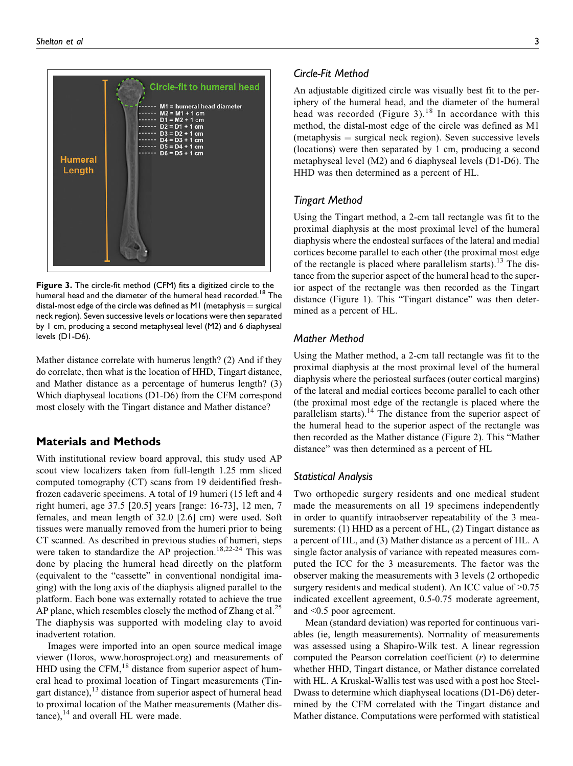

Figure 3. The circle-fit method (CFM) fits a digitized circle to the humeral head and the diameter of the humeral head recorded.<sup>18</sup> The distal-most edge of the circle was defined as M1 (metaphysis  $=$  surgical neck region). Seven successive levels or locations were then separated by 1 cm, producing a second metaphyseal level (M2) and 6 diaphyseal levels (D1-D6).

Mather distance correlate with humerus length? (2) And if they do correlate, then what is the location of HHD, Tingart distance, and Mather distance as a percentage of humerus length? (3) Which diaphyseal locations (D1-D6) from the CFM correspond most closely with the Tingart distance and Mather distance?

# Materials and Methods

With institutional review board approval, this study used AP scout view localizers taken from full-length 1.25 mm sliced computed tomography (CT) scans from 19 deidentified freshfrozen cadaveric specimens. A total of 19 humeri (15 left and 4 right humeri, age 37.5 [20.5] years [range: 16-73], 12 men, 7 females, and mean length of 32.0 [2.6] cm) were used. Soft tissues were manually removed from the humeri prior to being CT scanned. As described in previous studies of humeri, steps were taken to standardize the AP projection.<sup>18,22-24</sup> This was done by placing the humeral head directly on the platform (equivalent to the "cassette" in conventional nondigital imaging) with the long axis of the diaphysis aligned parallel to the platform. Each bone was externally rotated to achieve the true AP plane, which resembles closely the method of Zhang et al.<sup>25</sup> The diaphysis was supported with modeling clay to avoid inadvertent rotation.

Images were imported into an open source medical image viewer (Horos, [www.horosproject.org](http://www.horosproject.org)) and measurements of HHD using the CFM, $^{18}$  distance from superior aspect of humeral head to proximal location of Tingart measurements (Tingart distance), $13$  distance from superior aspect of humeral head to proximal location of the Mather measurements (Mather dis $tance$ ),  $^{14}$  and overall HL were made.

# Circle-Fit Method

An adjustable digitized circle was visually best fit to the periphery of the humeral head, and the diameter of the humeral head was recorded (Figure 3).<sup>18</sup> In accordance with this method, the distal-most edge of the circle was defined as M1  $(metaphysis = surgical neck region)$ . Seven successive levels (locations) were then separated by 1 cm, producing a second metaphyseal level (M2) and 6 diaphyseal levels (D1-D6). The HHD was then determined as a percent of HL.

# Tingart Method

Using the Tingart method, a 2-cm tall rectangle was fit to the proximal diaphysis at the most proximal level of the humeral diaphysis where the endosteal surfaces of the lateral and medial cortices become parallel to each other (the proximal most edge of the rectangle is placed where parallelism starts).<sup>13</sup> The distance from the superior aspect of the humeral head to the superior aspect of the rectangle was then recorded as the Tingart distance (Figure 1). This "Tingart distance" was then determined as a percent of HL.

# Mather Method

Using the Mather method, a 2-cm tall rectangle was fit to the proximal diaphysis at the most proximal level of the humeral diaphysis where the periosteal surfaces (outer cortical margins) of the lateral and medial cortices become parallel to each other (the proximal most edge of the rectangle is placed where the parallelism starts).<sup>14</sup> The distance from the superior aspect of the humeral head to the superior aspect of the rectangle was then recorded as the Mather distance (Figure 2). This "Mather distance" was then determined as a percent of HL

## Statistical Analysis

Two orthopedic surgery residents and one medical student made the measurements on all 19 specimens independently in order to quantify intraobserver repeatability of the 3 measurements: (1) HHD as a percent of HL, (2) Tingart distance as a percent of HL, and (3) Mather distance as a percent of HL. A single factor analysis of variance with repeated measures computed the ICC for the 3 measurements. The factor was the observer making the measurements with 3 levels (2 orthopedic surgery residents and medical student). An ICC value of  $>0.75$ indicated excellent agreement, 0.5-0.75 moderate agreement, and <0.5 poor agreement.

Mean (standard deviation) was reported for continuous variables (ie, length measurements). Normality of measurements was assessed using a Shapiro-Wilk test. A linear regression computed the Pearson correlation coefficient  $(r)$  to determine whether HHD, Tingart distance, or Mather distance correlated with HL. A Kruskal-Wallis test was used with a post hoc Steel-Dwass to determine which diaphyseal locations (D1-D6) determined by the CFM correlated with the Tingart distance and Mather distance. Computations were performed with statistical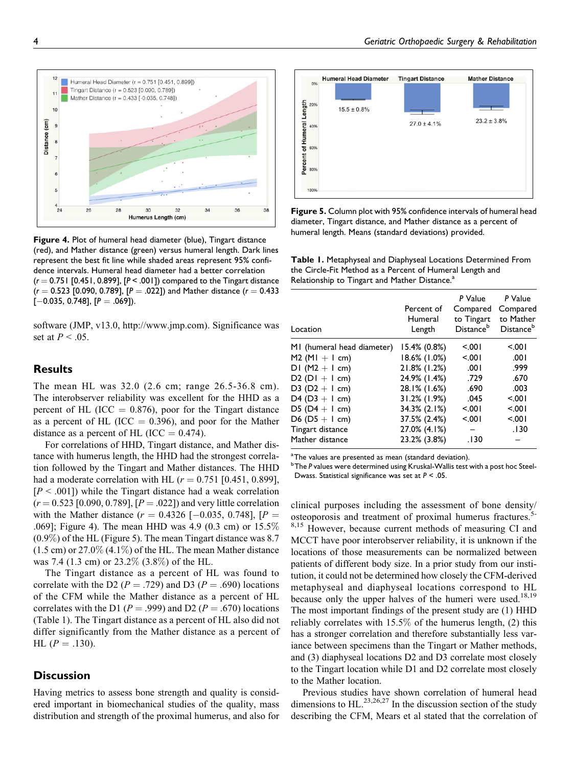

Figure 4. Plot of humeral head diameter (blue), Tingart distance (red), and Mather distance (green) versus humeral length. Dark lines represent the best fit line while shaded areas represent 95% confidence intervals. Humeral head diameter had a better correlation  $(r = 0.751$  [0.451, 0.899], [P < .001]) compared to the Tingart distance  $(r = 0.523$  [0.090, 0.789], [P = .022]) and Mather distance  $(r = 0.433$  $[-0.035, 0.748]$ , [ $P = .069$ ]).

software (JMP, v13.0, [http://www.jmp.com\)](http://www.jmp.com). Significance was set at  $P < .05$ .

# **Results**

The mean HL was 32.0 (2.6 cm; range 26.5-36.8 cm). The interobserver reliability was excellent for the HHD as a percent of HL (ICC  $= 0.876$ ), poor for the Tingart distance as a percent of HL (ICC  $= 0.396$ ), and poor for the Mather distance as a percent of HL (ICC  $= 0.474$ ).

For correlations of HHD, Tingart distance, and Mather distance with humerus length, the HHD had the strongest correlation followed by the Tingart and Mather distances. The HHD had a moderate correlation with HL ( $r = 0.751$  [0.451, 0.899],  $[P \leq .001]$ ) while the Tingart distance had a weak correlation  $(r = 0.523 \, [0.090, 0.789], [P = .022])$  and very little correlation with the Mather distance  $(r = 0.4326 [-0.035, 0.748], [P =$ .069]; Figure 4). The mean HHD was 4.9 (0.3 cm) or 15.5% (0.9%) of the HL (Figure 5). The mean Tingart distance was 8.7  $(1.5 \text{ cm})$  or  $27.0\%$   $(4.1\%)$  of the HL. The mean Mather distance was 7.4 (1.3 cm) or 23.2% (3.8%) of the HL.

The Tingart distance as a percent of HL was found to correlate with the D2 ( $P = .729$ ) and D3 ( $P = .690$ ) locations of the CFM while the Mather distance as a percent of HL correlates with the D1 ( $P = .999$ ) and D2 ( $P = .670$ ) locations (Table 1). The Tingart distance as a percent of HL also did not differ significantly from the Mather distance as a percent of  $HL (P = .130).$ 

# **Discussion**

Having metrics to assess bone strength and quality is considered important in biomechanical studies of the quality, mass distribution and strength of the proximal humerus, and also for



Figure 5. Column plot with 95% confidence intervals of humeral head diameter, Tingart distance, and Mather distance as a percent of humeral length. Means (standard deviations) provided.

Table 1. Metaphyseal and Diaphyseal Locations Determined From the Circle-Fit Method as a Percent of Humeral Length and Relationship to Tingart and Mather Distance.<sup>a</sup>

| Location                   | Percent of<br>Humeral<br>Length | P Value<br>Compared<br>to Tingart<br>Distance <sup>b</sup> | P Value<br>Compared<br>to Mather<br>Distance <sup>b</sup> |
|----------------------------|---------------------------------|------------------------------------------------------------|-----------------------------------------------------------|
| MI (humeral head diameter) | 15.4% (0.8%)                    | 5001                                                       | 5001                                                      |
| $M2$ (MI + I cm)           | 18.6% (1.0%)                    | 5.001                                                      | .001                                                      |
| DI $(M2 + I cm)$           | 21.8% (1.2%)                    | .001                                                       | .999                                                      |
| $D2 (DI + I cm)$           | 24.9% (1.4%)                    | .729                                                       | .670                                                      |
| D3 ( $D2 + I$ cm)          | 28.1% (1.6%)                    | .690                                                       | .003                                                      |
| D4 (D3 $+$ I cm)           | 31.2% (1.9%)                    | .045                                                       | 5001                                                      |
| $D5(D4 + I cm)$            | 34.3% (2.1%)                    | 5.001                                                      | 5001                                                      |
| $D6 (D5 + I cm)$           | 37.5% (2.4%)                    | 5.001                                                      | 5001                                                      |
| Tingart distance           | 27.0% (4.1%)                    |                                                            | .130                                                      |
| Mather distance            | 23.2% (3.8%)                    | .130                                                       |                                                           |

 $^{\rm a}$ The values are presented as mean (standard deviation).

<sup>b</sup> The P values were determined using Kruskal-Wallis test with a post hoc Steel-Dwass. Statistical significance was set at  $P < .05$ .

clinical purposes including the assessment of bone density/ osteoporosis and treatment of proximal humerus fractures.<sup>5-</sup> 8,15 However, because current methods of measuring CI and MCCT have poor interobserver reliability, it is unknown if the locations of those measurements can be normalized between patients of different body size. In a prior study from our institution, it could not be determined how closely the CFM-derived metaphyseal and diaphyseal locations correspond to HL because only the upper halves of the humeri were used.<sup>18,19</sup> The most important findings of the present study are (1) HHD reliably correlates with 15.5% of the humerus length, (2) this has a stronger correlation and therefore substantially less variance between specimens than the Tingart or Mather methods, and (3) diaphyseal locations D2 and D3 correlate most closely to the Tingart location while D1 and D2 correlate most closely to the Mather location.

Previous studies have shown correlation of humeral head dimensions to HL $^{23,26,27}$  In the discussion section of the study describing the CFM, Mears et al stated that the correlation of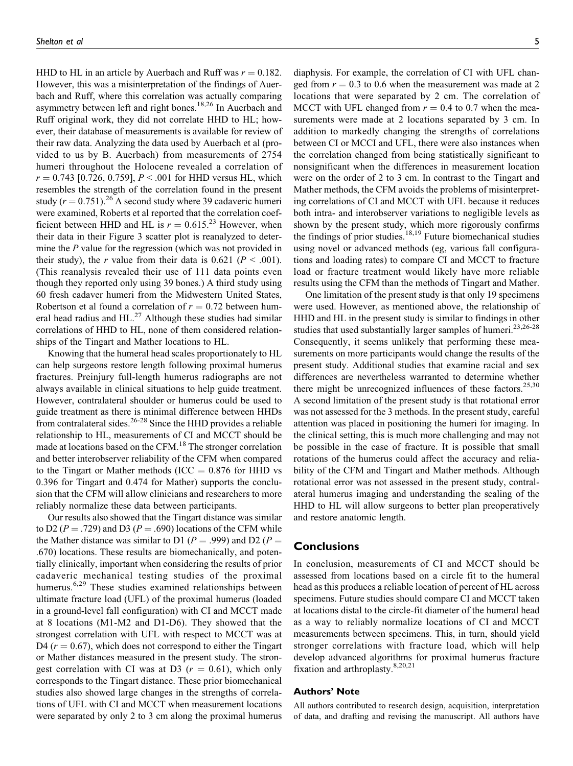HHD to HL in an article by Auerbach and Ruff was  $r = 0.182$ . However, this was a misinterpretation of the findings of Auerbach and Ruff, where this correlation was actually comparing asymmetry between left and right bones.18,26 In Auerbach and Ruff original work, they did not correlate HHD to HL; however, their database of measurements is available for review of their raw data. Analyzing the data used by Auerbach et al (provided to us by B. Auerbach) from measurements of 2754 humeri throughout the Holocene revealed a correlation of  $r = 0.743$  [0.726, 0.759],  $P < .001$  for HHD versus HL, which resembles the strength of the correlation found in the present study ( $r = 0.751$ ).<sup>26</sup> A second study where 39 cadaveric humeri were examined, Roberts et al reported that the correlation coefficient between HHD and HL is  $r = 0.615^{23}$  However, when their data in their Figure 3 scatter plot is reanalyzed to determine the P value for the regression (which was not provided in their study), the r value from their data is 0.621 ( $P < .001$ ). (This reanalysis revealed their use of 111 data points even though they reported only using 39 bones.) A third study using 60 fresh cadaver humeri from the Midwestern United States, Robertson et al found a correlation of  $r = 0.72$  between humeral head radius and  $HL$ .<sup>27</sup> Although these studies had similar correlations of HHD to HL, none of them considered relationships of the Tingart and Mather locations to HL.

Knowing that the humeral head scales proportionately to HL can help surgeons restore length following proximal humerus fractures. Preinjury full-length humerus radiographs are not always available in clinical situations to help guide treatment. However, contralateral shoulder or humerus could be used to guide treatment as there is minimal difference between HHDs from contralateral sides. $26-28$  Since the HHD provides a reliable relationship to HL, measurements of CI and MCCT should be made at locations based on the CFM.<sup>18</sup> The stronger correlation and better interobserver reliability of the CFM when compared to the Tingart or Mather methods (ICC  $= 0.876$  for HHD vs 0.396 for Tingart and 0.474 for Mather) supports the conclusion that the CFM will allow clinicians and researchers to more reliably normalize these data between participants.

Our results also showed that the Tingart distance was similar to D2 ( $P = .729$ ) and D3 ( $P = .690$ ) locations of the CFM while the Mather distance was similar to D1 ( $P = .999$ ) and D2 ( $P =$ .670) locations. These results are biomechanically, and potentially clinically, important when considering the results of prior cadaveric mechanical testing studies of the proximal humerus.<sup>6,29</sup> These studies examined relationships between ultimate fracture load (UFL) of the proximal humerus (loaded in a ground-level fall configuration) with CI and MCCT made at 8 locations (M1-M2 and D1-D6). They showed that the strongest correlation with UFL with respect to MCCT was at D4 ( $r = 0.67$ ), which does not correspond to either the Tingart or Mather distances measured in the present study. The strongest correlation with CI was at D3 ( $r = 0.61$ ), which only corresponds to the Tingart distance. These prior biomechanical studies also showed large changes in the strengths of correlations of UFL with CI and MCCT when measurement locations were separated by only 2 to 3 cm along the proximal humerus

diaphysis. For example, the correlation of CI with UFL changed from  $r = 0.3$  to 0.6 when the measurement was made at 2 locations that were separated by 2 cm. The correlation of MCCT with UFL changed from  $r = 0.4$  to 0.7 when the measurements were made at 2 locations separated by 3 cm. In addition to markedly changing the strengths of correlations between CI or MCCI and UFL, there were also instances when the correlation changed from being statistically significant to nonsignificant when the differences in measurement location were on the order of 2 to 3 cm. In contrast to the Tingart and Mather methods, the CFM avoids the problems of misinterpreting correlations of CI and MCCT with UFL because it reduces both intra- and interobserver variations to negligible levels as shown by the present study, which more rigorously confirms the findings of prior studies.<sup>18,19</sup> Future biomechanical studies using novel or advanced methods (eg, various fall configurations and loading rates) to compare CI and MCCT to fracture load or fracture treatment would likely have more reliable results using the CFM than the methods of Tingart and Mather.

One limitation of the present study is that only 19 specimens were used. However, as mentioned above, the relationship of HHD and HL in the present study is similar to findings in other studies that used substantially larger samples of humeri.<sup>23,26-28</sup> Consequently, it seems unlikely that performing these measurements on more participants would change the results of the present study. Additional studies that examine racial and sex differences are nevertheless warranted to determine whether there might be unrecognized influences of these factors.<sup>25,30</sup> A second limitation of the present study is that rotational error was not assessed for the 3 methods. In the present study, careful attention was placed in positioning the humeri for imaging. In the clinical setting, this is much more challenging and may not be possible in the case of fracture. It is possible that small rotations of the humerus could affect the accuracy and reliability of the CFM and Tingart and Mather methods. Although rotational error was not assessed in the present study, contralateral humerus imaging and understanding the scaling of the HHD to HL will allow surgeons to better plan preoperatively and restore anatomic length.

#### **Conclusions**

In conclusion, measurements of CI and MCCT should be assessed from locations based on a circle fit to the humeral head as this produces a reliable location of percent of HL across specimens. Future studies should compare CI and MCCT taken at locations distal to the circle-fit diameter of the humeral head as a way to reliably normalize locations of CI and MCCT measurements between specimens. This, in turn, should yield stronger correlations with fracture load, which will help develop advanced algorithms for proximal humerus fracture fixation and arthroplasty.8,20,21

#### Authors' Note

All authors contributed to research design, acquisition, interpretation of data, and drafting and revising the manuscript. All authors have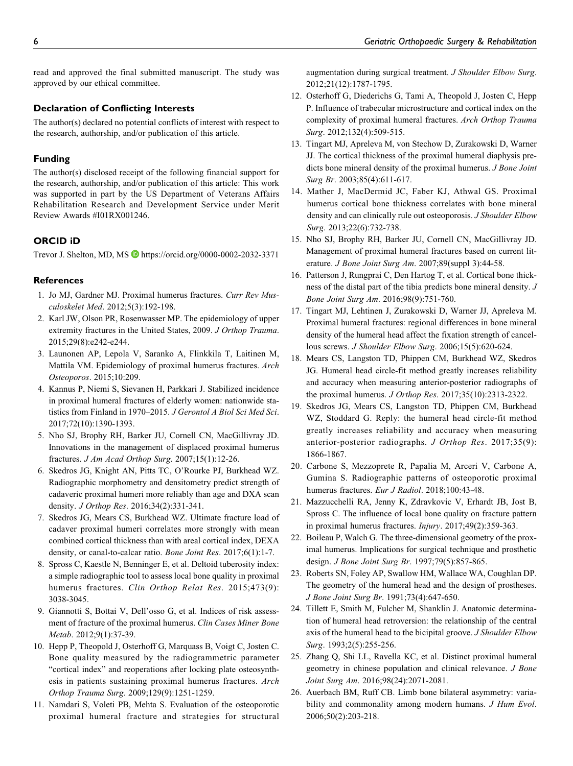read and approved the final submitted manuscript. The study was approved by our ethical committee.

#### Declaration of Conflicting Interests

The author(s) declared no potential conflicts of interest with respect to the research, authorship, and/or publication of this article.

#### Funding

The author(s) disclosed receipt of the following financial support for the research, authorship, and/or publication of this article: This work was supported in part by the US Department of Veterans Affairs Rehabilitation Research and Development Service under Merit Review Awards #I01RX001246.

#### ORCID iD

Trevor J. Shelton, MD, MS D<https://orcid.org/0000-0002-2032-3371>

#### **References**

- 1. Jo MJ, Gardner MJ. Proximal humerus fractures. Curr Rev Musculoskelet Med. 2012;5(3):192-198.
- 2. Karl JW, Olson PR, Rosenwasser MP. The epidemiology of upper extremity fractures in the United States, 2009. J Orthop Trauma. 2015;29(8):e242-e244.
- 3. Launonen AP, Lepola V, Saranko A, Flinkkila T, Laitinen M, Mattila VM. Epidemiology of proximal humerus fractures. Arch Osteoporos. 2015;10:209.
- 4. Kannus P, Niemi S, Sievanen H, Parkkari J. Stabilized incidence in proximal humeral fractures of elderly women: nationwide statistics from Finland in 1970–2015. J Gerontol A Biol Sci Med Sci. 2017;72(10):1390-1393.
- 5. Nho SJ, Brophy RH, Barker JU, Cornell CN, MacGillivray JD. Innovations in the management of displaced proximal humerus fractures. J Am Acad Orthop Surg. 2007;15(1):12-26.
- 6. Skedros JG, Knight AN, Pitts TC, O'Rourke PJ, Burkhead WZ. Radiographic morphometry and densitometry predict strength of cadaveric proximal humeri more reliably than age and DXA scan density. J Orthop Res. 2016;34(2):331-341.
- 7. Skedros JG, Mears CS, Burkhead WZ. Ultimate fracture load of cadaver proximal humeri correlates more strongly with mean combined cortical thickness than with areal cortical index, DEXA density, or canal-to-calcar ratio. Bone Joint Res. 2017;6(1):1-7.
- 8. Spross C, Kaestle N, Benninger E, et al. Deltoid tuberosity index: a simple radiographic tool to assess local bone quality in proximal humerus fractures. Clin Orthop Relat Res. 2015;473(9): 3038-3045.
- 9. Giannotti S, Bottai V, Dell'osso G, et al. Indices of risk assessment of fracture of the proximal humerus. Clin Cases Miner Bone Metab. 2012;9(1):37-39.
- 10. Hepp P, Theopold J, Osterhoff G, Marquass B, Voigt C, Josten C. Bone quality measured by the radiogrammetric parameter "cortical index" and reoperations after locking plate osteosynthesis in patients sustaining proximal humerus fractures. Arch Orthop Trauma Surg. 2009;129(9):1251-1259.
- 11. Namdari S, Voleti PB, Mehta S. Evaluation of the osteoporotic proximal humeral fracture and strategies for structural

augmentation during surgical treatment. J Shoulder Elbow Surg. 2012;21(12):1787-1795.

- 12. Osterhoff G, Diederichs G, Tami A, Theopold J, Josten C, Hepp P. Influence of trabecular microstructure and cortical index on the complexity of proximal humeral fractures. Arch Orthop Trauma Surg. 2012;132(4):509-515.
- 13. Tingart MJ, Apreleva M, von Stechow D, Zurakowski D, Warner JJ. The cortical thickness of the proximal humeral diaphysis predicts bone mineral density of the proximal humerus. *J Bone Joint* Surg Br. 2003;85(4):611-617.
- 14. Mather J, MacDermid JC, Faber KJ, Athwal GS. Proximal humerus cortical bone thickness correlates with bone mineral density and can clinically rule out osteoporosis. J Shoulder Elbow Surg. 2013;22(6):732-738.
- 15. Nho SJ, Brophy RH, Barker JU, Cornell CN, MacGillivray JD. Management of proximal humeral fractures based on current literature. J Bone Joint Surg Am. 2007;89(suppl 3):44-58.
- 16. Patterson J, Rungprai C, Den Hartog T, et al. Cortical bone thickness of the distal part of the tibia predicts bone mineral density. J Bone Joint Surg Am. 2016;98(9):751-760.
- 17. Tingart MJ, Lehtinen J, Zurakowski D, Warner JJ, Apreleva M. Proximal humeral fractures: regional differences in bone mineral density of the humeral head affect the fixation strength of cancellous screws. J Shoulder Elbow Surg. 2006;15(5):620-624.
- 18. Mears CS, Langston TD, Phippen CM, Burkhead WZ, Skedros JG. Humeral head circle-fit method greatly increases reliability and accuracy when measuring anterior-posterior radiographs of the proximal humerus. J Orthop Res. 2017;35(10):2313-2322.
- 19. Skedros JG, Mears CS, Langston TD, Phippen CM, Burkhead WZ, Stoddard G. Reply: the humeral head circle-fit method greatly increases reliability and accuracy when measuring anterior-posterior radiographs. J Orthop Res. 2017;35(9): 1866-1867.
- 20. Carbone S, Mezzoprete R, Papalia M, Arceri V, Carbone A, Gumina S. Radiographic patterns of osteoporotic proximal humerus fractures. Eur J Radiol. 2018;100:43-48.
- 21. Mazzucchelli RA, Jenny K, Zdravkovic V, Erhardt JB, Jost B, Spross C. The influence of local bone quality on fracture pattern in proximal humerus fractures. Injury. 2017;49(2):359-363.
- 22. Boileau P, Walch G. The three-dimensional geometry of the proximal humerus. Implications for surgical technique and prosthetic design. J Bone Joint Surg Br. 1997;79(5):857-865.
- 23. Roberts SN, Foley AP, Swallow HM, Wallace WA, Coughlan DP. The geometry of the humeral head and the design of prostheses. J Bone Joint Surg Br. 1991;73(4):647-650.
- 24. Tillett E, Smith M, Fulcher M, Shanklin J. Anatomic determination of humeral head retroversion: the relationship of the central axis of the humeral head to the bicipital groove. J Shoulder Elbow Surg. 1993;2(5):255-256.
- 25. Zhang Q, Shi LL, Ravella KC, et al. Distinct proximal humeral geometry in chinese population and clinical relevance. J Bone Joint Surg Am. 2016;98(24):2071-2081.
- 26. Auerbach BM, Ruff CB. Limb bone bilateral asymmetry: variability and commonality among modern humans. *J Hum Evol.* 2006;50(2):203-218.